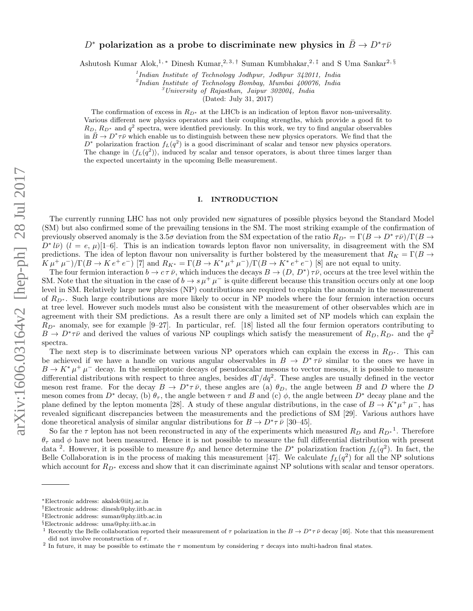# $D^*$  polarization as a probe to discriminate new physics in  $\bar{B}\to D^*\tau\bar{\nu}$

Ashutosh Kumar Alok,<sup>1, \*</sup> Dinesh Kumar,<sup>2, 3, †</sup> Suman Kumbhakar,<sup>2, ‡</sup> and S Uma Sankar<sup>2, §</sup>

<sup>1</sup>Indian Institute of Technology Jodhpur, Jodhpur 342011, India

2 Indian Institute of Technology Bombay, Mumbai 400076, India

 $3$ University of Rajasthan, Jaipur 302004, India

(Dated: July 31, 2017)

The confirmation of excess in  $R_{D^*}$  at the LHCb is an indication of lepton flavor non-universality. Various different new physics operators and their coupling strengths, which provide a good fit to  $R_D, R_{D^*}$  and  $q^2$  spectra, were identified previously. In this work, we try to find angular observables in  $\bar{B} \to D^* \tau \bar{\nu}$  which enable us to distinguish between these new physics operators. We find that the  $D^*$  polarization fraction  $f_L(q^2)$  is a good discriminant of scalar and tensor new physics operators. The change in  $\langle f_L(q^2) \rangle$ , induced by scalar and tensor operators, is about three times larger than the expected uncertainty in the upcoming Belle measurement.

#### I. INTRODUCTION

The currently running LHC has not only provided new signatures of possible physics beyond the Standard Model (SM) but also confirmed some of the prevailing tensions in the SM. The most striking example of the confirmation of previously observed anomaly is the 3.5 $\sigma$  deviation from the SM expectation of the ratio  $R_{D^*} = \Gamma(B \to D^* \tau \bar{\nu})/\Gamma(B \to D^* \tau \bar{\nu})$  $D^* l\bar{\nu}$   $(l = e, \mu)$ [1–6]. This is an indication towards lepton flavor non universality, in disagreement with the SM predictions. The idea of lepton flavour non universality is further bolstered by the measurement that  $R_K = \Gamma(B \to$  $K \mu^+ \mu^-$ )/ $\Gamma(B \to K e^+ e^-)$  [7] and  $R_{K^*} = \Gamma(B \to K^* \mu^+ \mu^-) / \Gamma(B \to K^* e^+ e^-)$  [8] are not equal to unity.

The four fermion interaction  $b \to c \tau \bar{\nu}$ , which induces the decays  $B \to (D, D^*) \tau \bar{\nu}$ , occurs at the tree level within the SM. Note that the situation in the case of  $b \to s \mu^+ \mu^-$  is quite different because this transition occurs only at one loop level in SM. Relatively large new physics (NP) contributions are required to explain the anomaly in the measurement of  $R_{D^*}$ . Such large contributions are more likely to occur in NP models where the four fermion interaction occurs at tree level. However such models must also be consistent with the measurement of other observables which are in agreement with their SM predictions. As a result there are only a limited set of NP models which can explain the  $R_{D^*}$  anomaly, see for example [9–27]. In particular, ref. [18] listed all the four fermion operators contributing to  $B \to D^* \tau \bar{\nu}$  and derived the values of various NP couplings which satisfy the measurement of  $R_D, R_{D^*}$  and the  $q^2$ spectra.

The next step is to discriminate between various NP operators which can explain the excess in  $R_{D^*}$ . This can be achieved if we have a handle on various angular observables in  $B \to D^* \tau \bar{\nu}$  similar to the ones we have in  $B \to K^* \mu^+ \mu^-$  decay. In the semileptonic decays of pseudoscalar mesons to vector mesons, it is possible to measure differential distributions with respect to three angles, besides  $d\Gamma/dq^2$ . These angles are usually defined in the vector meson rest frame. For the decay  $B \to D^*\tau\bar{\nu}$ , these angles are (a)  $\theta_D$ , the angle between B and D where the D meson comes from  $D^*$  decay, (b)  $\theta_{\tau}$ , the angle between  $\tau$  and  $B$  and (c)  $\phi$ , the angle between  $D^*$  decay plane and the plane defined by the lepton momenta [28]. A study of these angular distributions, in the case of  $B \to K^*\mu^+\mu^-$ , has revealed significant discrepancies between the measurements and the predictions of SM [29]. Various authors have done theoretical analysis of similar angular distributions for  $B \to D^* \tau \bar{\nu}$  [30–45].

So far the  $\tau$  lepton has not been reconstructed in any of the experiments which measured  $R_D$  and  $R_{D*}^{-1}$ . Therefore  $\theta_{\tau}$  and  $\phi$  have not been measured. Hence it is not possible to measure the full differential distribution with present data <sup>2</sup>. However, it is possible to measure  $\theta_D$  and hence determine the  $D^*$  polarization fraction  $f_L(q^2)$ . In fact, the Belle Collaboration is in the process of making this measurement [47]. We calculate  $f_L(q^2)$  for all the NP solutions which account for  $R_{D^*}$  excess and show that it can discriminate against NP solutions with scalar and tensor operators.

<sup>∗</sup>Electronic address: akalok@iitj.ac.in

<sup>†</sup>Electronic address: dinesh@phy.iitb.ac.in

<sup>‡</sup>Electronic address: suman@phy.iitb.ac.in

<sup>§</sup>Electronic address: uma@phy.iitb.ac.in

<sup>&</sup>lt;sup>1</sup> Recently the Belle collaboration reported their measurement of  $\tau$  polarization in the  $B \to D^* \tau \bar{\nu}$  decay [46]. Note that this measurement did not involve reconstruction of  $\tau$ .

<sup>&</sup>lt;sup>2</sup> In future, it may be possible to estimate the  $\tau$  momentum by considering  $\tau$  decays into multi-hadron final states.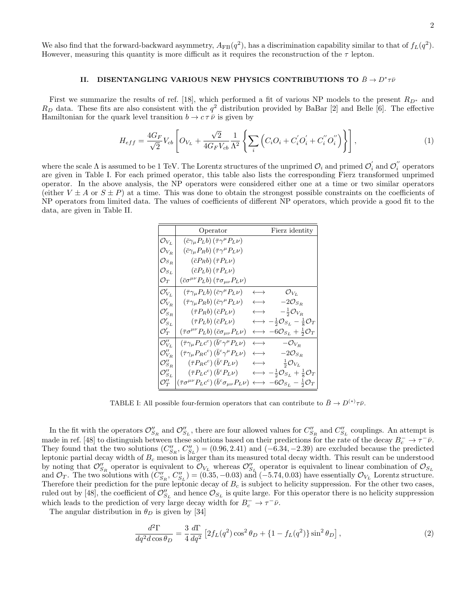We also find that the forward-backward asymmetry,  $A_{FB}(q^2)$ , has a discrimination capability similar to that of  $f_L(q^2)$ . However, measuring this quantity is more difficult as it requires the reconstruction of the  $\tau$  lepton.

## II. DISENTANGLING VARIOUS NEW PHYSICS CONTRIBUTIONS TO  $\bar{B} \to D^* \tau \bar{\nu}$

First we summarize the results of ref. [18], which performed a fit of various NP models to the present  $R_{D^*}$  and  $R_D$  data. These fits are also consistent with the  $q^2$  distribution provided by BaBar [2] and Belle [6]. The effective Hamiltonian for the quark level transition  $b \to c \tau \bar{\nu}$  is given by

$$
H_{eff} = \frac{4G_F}{\sqrt{2}} V_{cb} \left[ O_{V_L} + \frac{\sqrt{2}}{4G_F V_{cb}} \frac{1}{\Lambda^2} \left\{ \sum_i \left( C_i O_i + C_i' O_i' + C_i'' O_i'' \right) \right\} \right],
$$
 (1)

where the scale  $\Lambda$  is assumed to be 1 TeV. The Lorentz structures of the unprimed  $\mathcal{O}_i$  and primed  $\mathcal{O}'_i$  $\mathcal{O}_i'$  and  $\mathcal{O}_i''$  $\sum_{i=1}^{n}$ are given in Table I. For each primed operator, this table also lists the corresponding Fierz transformed unprimed operator. In the above analysis, the NP operators were considered either one at a time or two similar operators (either  $V \pm A$  or  $S \pm P$ ) at a time. This was done to obtain the strongest possible constraints on the coefficients of NP operators from limited data. The values of coefficients of different NP operators, which provide a good fit to the data, are given in Table II.

|                              | Operator                                                                                    |                       | Fierz identity                                                               |
|------------------------------|---------------------------------------------------------------------------------------------|-----------------------|------------------------------------------------------------------------------|
| $\mathcal{O}_{V_L}$          | $(\bar{c}\gamma_\mu P_L b)(\bar{\tau}\gamma^\mu P_L \nu)$                                   |                       |                                                                              |
| $\mathcal{O}_{V_R}$          | $\left(\bar{c}\gamma_\mu P_R b\right)\left(\bar{\tau}\gamma^\mu P_L \nu\right)$             |                       |                                                                              |
| $\mathcal{O}_{S_R}$          | $(\bar{c}P_Rb)(\bar{\tau}P_L\nu)$                                                           |                       |                                                                              |
| $\mathcal{O}_{S_L}$          | $(\bar{c}P_Lb)(\bar{\tau}P_L\nu)$                                                           |                       |                                                                              |
| $\mathcal{O}_T$              | $(\bar{c}\sigma^{\mu\nu}P_L b)(\bar{\tau}\sigma_{\mu\nu}P_L \nu)$                           |                       |                                                                              |
| $\mathcal{O}_{V_L}^{\prime}$ | $(\bar{\tau}\gamma_{\mu}P_{L}b)(\bar{c}\gamma^{\mu}P_{L}\nu)$                               | $\longleftrightarrow$ | $\mathcal{O}_{V_L}$                                                          |
| $\mathcal{O}_{V_R}'$         | $(\bar{\tau}\gamma_{\mu}P_Rb)(\bar{c}\gamma^{\mu}P_L\nu)$                                   | $\longleftrightarrow$ | $-2\mathcal{O}_{S_R}$                                                        |
| $\mathcal{O}_{S_R}^\prime$   | $(\bar{\tau}P_Rb)(\bar{c}P_L\nu)$                                                           | $\longleftrightarrow$ | $-\frac{1}{2}\mathcal{O}_{V_R}$                                              |
| $\mathcal{O}_{S_L}^\prime$   | $(\bar{\tau}P_Lb)(\bar{c}P_L\nu)$                                                           | $\longleftrightarrow$ | $-\frac{1}{2} \mathcal{O}_{S_L} - \frac{1}{8} \mathcal{O}_T$                 |
| $\mathcal{O}_T'$             | $(\bar{\tau}\sigma^{\mu\nu}P_Lb)(\bar{c}\sigma_{\mu\nu}P_L\nu)$                             |                       | $-6\mathcal{O}_{S_L} + \frac{1}{2}\mathcal{O}_T$                             |
| $\mathcal{O}_{V_L}''$        | $(\bar{\tau}\gamma_{\mu}P_{L}c^{c}) (\bar{b}^{c}\gamma^{\mu}P_{L}\nu)$                      | $\longleftrightarrow$ | $-\mathcal{O}_{V_R}$                                                         |
| $\mathcal{O}''_{V_B}$        | $\left(\bar{\tau}\gamma_{\mu}P_{R}c^{c}\right)\left(\bar{b}^{c}\gamma^{\mu}P_{L}\nu\right)$ | $\longleftrightarrow$ | $-2\mathcal{O}_{S_R}$                                                        |
| $\mathcal{O}_{S_R}''$        | $(\bar{\tau}P_Rc^c)(\bar{b}^cP_L\nu)$                                                       | $\longleftrightarrow$ | $\frac{1}{2} \mathcal{O}_{V_L}$                                              |
| ${\cal O}''_{S_L}$           | $\left(\bar{\tau}P_{L}c^{c}\right)\left(\bar{b}^{c}P_{L}\nu\right)$                         |                       | $\longleftrightarrow -\frac{1}{2}\mathcal{O}_{S_L}+\frac{1}{8}\mathcal{O}_T$ |
| $\mathcal{O}''_T$            | $(\bar\tau\sigma^{\mu\nu}P_Lc^c)\,(\bar b^c\sigma_{\mu\nu}P_L\nu)$                          |                       | $\longleftrightarrow -6\mathcal{O}_{S_L} - \frac{1}{2}\mathcal{O}_T$         |

TABLE I: All possible four-fermion operators that can contribute to  $\bar{B} \to D^{(*)}\tau\bar{\nu}$ .

In the fit with the operators  $\mathcal{O}_{S_R}''$  and  $\mathcal{O}_{S_L}''$ , there are four allowed values for  $C_{S_R}''$  and  $C_{S_L}''$  couplings. An attempt is made in ref. [48] to distinguish between these solutions based on their predictions for the rate of the decay  $B_c^- \to \tau^- \bar{\nu}$ . They found that the two solutions  $(C''_{S_R}, C''_{S_L}) = (0.96, 2.41)$  and  $(-6.34, -2.39)$  are excluded because the predicted leptonic partial decay width of  $B_c$  meson is larger than its measured total decay width. This result can be understood by noting that  $\mathcal{O}_{S_R}''$  operator is equivalent to  $\mathcal{O}_{V_L}$  whereas  $\mathcal{O}_{S_L}''$  operator is equivalent to linear combination of  $\mathcal{O}_{S_L}$ and  $\mathcal{O}_T$ . The two solutions with  $(C''_{S_R}, C''_{S_L}) = (0.35, -0.03)$  and  $(-5.74, 0.03)$  have essentially  $\mathcal{O}_{V_L}$  Lorentz structure. Therefore their prediction for the pure leptonic decay of  $B_c$  is subject to helicity suppression. For the other two cases, ruled out by [48], the coefficient of  $\mathcal{O}''_{S_L}$  and hence  $\mathcal{O}_{S_L}$  is quite large. For this operator there is no helicity suppression which leads to the prediction of very large decay width for  $B_c^- \to \tau^- \bar{\nu}$ .

The angular distribution in  $\theta_D$  is given by [34]

$$
\frac{d^2\Gamma}{dq^2d\cos\theta_D} = \frac{3}{4}\frac{d\Gamma}{dq^2} \left[2f_L(q^2)\cos^2\theta_D + \left\{1 - f_L(q^2)\right\}\sin^2\theta_D\right],\tag{2}
$$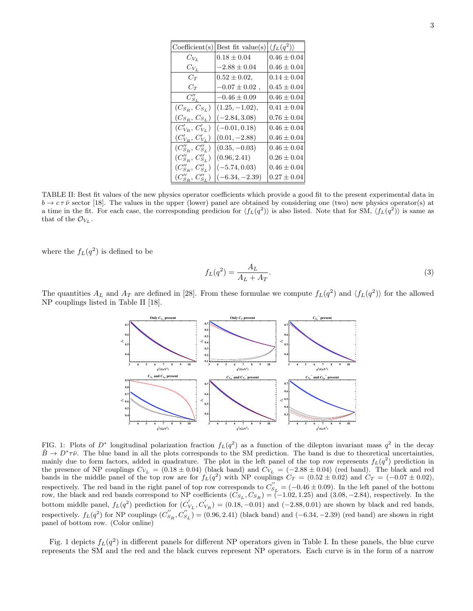| Coefficient(s)               | Best fit value(s)  | $\langle f_L(q^2) \rangle$ |
|------------------------------|--------------------|----------------------------|
| $C_{Vr}$                     | $0.18 \pm 0.04$    | $0.46 \pm 0.04$            |
| $C_{V_L}$                    | $-2.88 \pm 0.04$   | $0.46 \pm 0.04$            |
| $C_T$                        | $0.52 \pm 0.02$ ,  | $0.14 \pm 0.04$            |
| $C_T$                        | $-0.07 \pm 0.02$ , | $0.45 \pm 0.04$            |
| $C_{S_L}''$                  | $-0.46 \pm 0.09$   | $0.46 \pm 0.04$            |
| $(C_{S_R}, C_{S_L})$         | $(1.25, -1.02),$   | $0.41 \pm 0.04$            |
| $(C_{S_R}, C_{S_L})$         | $(-2.84, 3.08)$    | $0.76 \pm 0.04$            |
| $(C'_{V_B}, C'_{V_L})$       | $(-0.01, 0.18)$    | $0.46 \pm 0.04$            |
| $(C'_{V_B}, C'_{V_L})$       | $(0.01, -2.88)$    | $0.46 \pm 0.04$            |
| $(C''_{S_B}, C''_{S_L})$     | $(0.35, -0.03)$    | $0.46 \pm 0.04$            |
| $(C''_{S_B}, C''_{S_L})$     | (0.96, 2.41)       | $0.26 \pm 0.04$            |
| $(C''_{S_B}, C''_{S_L})$     | $(-5.74, 0.03)$    | $0.46 \pm 0.04$            |
| $(C''_{S_{B}}, C''_{S_{L}})$ | $(-6.34, -2.39)$   | $0.27 \pm 0.04$            |

TABLE II: Best fit values of the new physics operator coefficients which provide a good fit to the present experimental data in  $b \to c \tau \bar{\nu}$  sector [18]. The values in the upper (lower) panel are obtained by considering one (two) new physics operator(s) at a time in the fit. For each case, the corresponding predicion for  $\langle f_L(q^2) \rangle$  is also listed. Note that for SM,  $\langle f_L(q^2) \rangle$  is same as that of the  $\mathcal{O}_{V_L}$ .

where the  $f_L(q^2)$  is defined to be

$$
f_L(q^2) = \frac{A_L}{A_L + A_T}.\tag{3}
$$

The quantities  $A_L$  and  $A_T$  are defined in [28]. From these formulae we compute  $f_L(q^2)$  and  $\langle f_L(q^2) \rangle$  for the allowed NP couplings listed in Table II [18].



FIG. 1: Plots of  $D^*$  longitudinal polarization fraction  $f_L(q^2)$  as a function of the dilepton invariant mass  $q^2$  in the decay  $\bar{B} \to D^* \tau \bar{\nu}$ . The blue band in all the plots corresponds to the SM prediction. The band is due to theoretical uncertainties, mainly due to form factors, added in quadrature. The plot in the left panel of the top row represents  $f_L(q^2)$  prediction in the presence of NP couplings  $C_{V_L} = (0.18 \pm 0.04)$  (black band) and  $C_{V_L} = (-2.88 \pm 0.04)$  (red band). The black and red bands in the middle panel of the top row are for  $f_L(q^2)$  with NP couplings  $C_T = (0.52 \pm 0.02)$  and  $C_T = (-0.07 \pm 0.02)$ , respectively. The red band in the right panel of top row corresponds to  $C''_{S_L} = (-0.46 \pm 0.09)$ . In the left panel of the bottom row, the black and red bands correspond to NP coefficients  $(C_{S_L}, C_{S_R}) = (-1.02, 1.25)$  and  $(3.08, -2.84)$ , respectively. In the bottom middle panel,  $f_L(q^2)$  prediction for  $(C_1)$  $V_{V_L}$ ,  $C'_{V_R}$ ) = (0.18, -0.01) and (-2.88, 0.01) are shown by black and red bands, respectively.  $f_L(q^2)$  for NP couplings  $(C_S'')$  $S_R, C_{S_L}^{''}$  = (0.96, 2.41) (black band) and (-6.34, -2.39) (red band) are shown in right panel of bottom row. (Color online)

Fig. 1 depicts  $f_L(q^2)$  in different panels for different NP operators given in Table I. In these panels, the blue curve represents the SM and the red and the black curves represent NP operators. Each curve is in the form of a narrow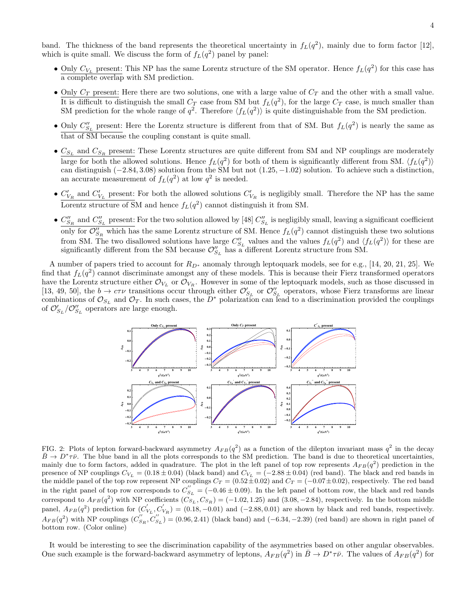band. The thickness of the band represents the theoretical uncertainty in  $f_L(q^2)$ , mainly due to form factor [12], which is quite small. We discuss the form of  $f_L(q^2)$  panel by panel:

- Only  $C_{V_L}$  present: This NP has the same Lorentz structure of the SM operator. Hence  $f_L(q^2)$  for this case has a complete overlap with SM prediction.
- Only  $C_T$  present: Here there are two solutions, one with a large value of  $C_T$  and the other with a small value. It is difficult to distinguish the small  $C_T$  case from SM but  $f_L(q^2)$ , for the large  $C_T$  case, is much smaller than SM prediction for the whole range of  $q^2$ . Therefore  $\langle f_L(q^2) \rangle$  is quite distinguishable from the SM prediction.
- Only  $C''_{S_L}$  present: Here the Lorentz structure is different from that of SM. But  $f_L(q^2)$  is nearly the same as that of SM because the coupling constant is quite small.
- $\bullet$   $C_{S_L}$  and  $C_{S_R}$  present: These Lorentz structures are quite different from SM and NP couplings are moderately large for both the allowed solutions. Hence  $f_L(q^2)$  for both of them is significantly different from SM.  $\langle f_L(q^2) \rangle$ can distinguish  $(-2.84, 3.08)$  solution from the SM but not  $(1.25, -1.02)$  solution. To achieve such a distinction, an accurate measurement of  $f_L(q^2)$  at low  $q^2$  is needed.
- $C'_{V_R}$  and  $C'_{V_L}$  present: For both the allowed solutions  $C'_{V_R}$  is negligibly small. Therefore the NP has the same Lorentz structure of SM and hence  $f_L(q^2)$  cannot distinguish it from SM.
- $\bullet$   $C''_{S_R}$  and  $C''_{S_L}$  present: For the two solution allowed by [48]  $C''_{S_L}$  is negligibly small, leaving a significant coefficient only for  $\mathcal{O}_{S_R}''$  which has the same Lorentz structure of SM. Hence  $f_L(q^2)$  cannot distinguish these two solutions from SM. The two disallowed solutions have large  $C''_{S_L}$  values and the values  $f_L(q^2)$  and  $\langle f_L(q^2) \rangle$  for these are significantly different from the SM because  $\mathcal{O}''_{S_L}$  has a different Lorentz structure from SM.

A number of papers tried to account for  $R_{D^*}$  anomaly through leptoquark models, see for e.g., [14, 20, 21, 25]. We find that  $f_L(q^2)$  cannot discriminate amongst any of these models. This is because their Fierz transformed operators have the Lorentz structure either  $\mathcal{O}_{V_L}$  or  $\mathcal{O}_{V_R}$ . However in some of the leptoquark models, such as those discussed in [13, 49, 50], the  $b \to c\tau\nu$  transitions occur through either  $\mathcal{O}'_{S_L}$  or  $\mathcal{O}''_{S_L}$  operators, whose Fierz transforms are linear combinations of  $\mathcal{O}_{S_L}$  and  $\mathcal{O}_T$ . In such cases, the D<sup>∗</sup> polarization can lead to a discrimination provided the couplings of  $\mathcal{O}_{S_L}'/\mathcal{O}_{S_L}''$  operators are large enough.



FIG. 2: Plots of lepton forward-backward asymmetry  $A_{FB}(q^2)$  as a function of the dilepton invariant mass  $q^2$  in the decay  $\bar{B} \to D^* \tau \bar{\nu}$ . The blue band in all the plots corresponds to the SM prediction. The band is due to theoretical uncertainties, mainly due to form factors, added in quadrature. The plot in the left panel of top row represents  $A_{FB}(q^2)$  prediction in the presence of NP couplings  $C_{V_L} = (0.18 \pm 0.04)$  (black band) and  $C_{V_L} = (-2.88 \pm 0.04)$  (red band). The black and red bands in the middle panel of the top row represent NP couplings  $C_T = (0.52 \pm 0.02)$  and  $C_T = (-0.07 \pm 0.02)$ , respectively. The red band in the right panel of top row corresponds to  $C_{S_L}^{''} = (-0.46 \pm 0.09)$ . In the left panel of bottom row, the black and red bands correspond to  $A_{FB}(q^2)$  with NP coefficients  $(C_{S_L}, C_{S_R}) = (-1.02, 1.25)$  and  $(3.08, -2.84)$ , respectively. In the bottom middle panel,  $A_{FB}(q^2)$  prediction for  $(C_1)$  $V_{V_L}, C'_{V_R}$  = (0.18, -0.01) and (-2.88, 0.01) are shown by black and red bands, respectively.  $A_{FB}(q^2)$  with NP couplings  $(C_S^{''})$  $S_R, C'_{S_L}$  = (0.96, 2.41) (black band) and (-6.34, -2.39) (red band) are shown in right panel of bottom row. (Color online)

It would be interesting to see the discrimination capability of the asymmetries based on other angular observables. One such example is the forward-backward asymmetry of leptons,  $A_{FB}(q^2)$  in  $\bar{B}\to D^*\tau\bar{\nu}$ . The values of  $A_{FB}(q^2)$  for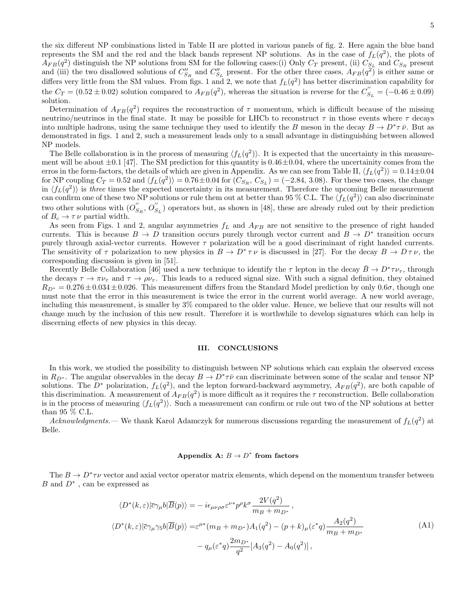Determination of  $A_{FB}(q^2)$  requires the reconstruction of  $\tau$  momentum, which is difficult because of the missing neutrino/neutrinos in the final state. It may be possible for LHCb to reconstruct  $\tau$  in those events where  $\tau$  decays into multiple hadrons, using the same technique they used to identify the B meson in the decay  $B \to D^* \tau \bar{\nu}$ . But as demonstrated in figs. 1 and 2, such a measurement leads only to a small advantage in distinguishing between allowed NP models.

The Belle collaboration is in the process of measuring  $\langle f_L(q^2) \rangle$ . It is expected that the uncertainty in this measurement will be about  $\pm 0.1$  [47]. The SM prediction for this quantity is  $0.46\pm0.04$ , where the uncertainity comes from the erros in the form-factors, the details of which are given in Appendix. As we can see from Table II,  $\langle f_L(q^2) \rangle = 0.14 \pm 0.04$ for NP coupling  $C_T = 0.52$  and  $\langle f_L(q^2) \rangle = 0.76 \pm 0.04$  for  $(C_{S_R}, C_{S_L}) = (-2.84, 3.08)$ . For these two cases, the change in  $\langle f_L(q^2) \rangle$  is three times the expected uncertainty in its measurement. Therefore the upcoming Belle measurement can confirm one of these two NP solutions or rule them out at better than 95 % C.L. The  $\langle f_L(q^2) \rangle$  can also discriminate two other solutions with  $(O''_S)$  $S_R$ ,  $O_{S_L}$ ) operators but, as shown in [48], these are already ruled out by their prediction of  $B_c \to \tau \nu$  partial width.

As seen from Figs. 1 and 2, angular asymmetries  $f_L$  and  $A_{FB}$  are not sensitive to the presence of right handed currents. This is because  $B \to D$  transition occurs purely through vector current and  $B \to D^*$  transition occurs purely through axial-vector currents. However  $\tau$  polarization will be a good discriminant of right handed currents. The sensitivity of  $\tau$  polarization to new physics in  $B \to D^* \tau \nu$  is discussed in [27]. For the decay  $B \to D \tau \nu$ , the corresponding discussion is given in [51].

Recently Belle Collaboration [46] used a new technique to identify the  $\tau$  lepton in the decay  $\bar{B} \to D^* \tau \nu_{\tau}$ , through the decays  $\tau \to \pi \nu_{\tau}$  and  $\tau \to \rho \nu_{\tau}$ . This leads to a reduced signal size. With such a signal definition, they obtained  $R_{D^*} = 0.276 \pm 0.034 \pm 0.026$ . This measurement differs from the Standard Model prediction by only  $0.6\sigma$ , though one must note that the error in this measurement is twice the error in the current world average. A new world average, including this measurement, is smaller by 3% compared to the older value. Hence, we believe that our results will not change much by the inclusion of this new result. Therefore it is worthwhile to develop signatures which can help in discerning effects of new physics in this decay.

### III. CONCLUSIONS

In this work, we studied the possibility to distinguish between NP solutions which can explain the observed excess in  $R_{D^*}$ . The angular observables in the decay  $B \to D^* \tau \bar{\nu}$  can discriminate between some of the scalar and tensor NP solutions. The  $D^*$  polarization,  $f_L(q^2)$ , and the lepton forward-backward asymmetry,  $A_{FB}(q^2)$ , are both capable of this discrimination. A measurement of  $A_{FB}(q^2)$  is more difficult as it requires the  $\tau$  reconstruction. Belle collaboration is in the process of measuring  $\langle f_L(q^2) \rangle$ . Such a measurement can confirm or rule out two of the NP solutions at better than 95 % C.L.

Acknowledgments. — We thank Karol Adamczyk for numerous discussions regarding the measurement of  $f_L(q^2)$  at Belle.

## Appendix A:  $B \to D^*$  from factors

The  $B \to D^* \tau \nu$  vector and axial vector operator matrix elements, which depend on the momentum transfer between  $B$  and  $D^*$ , can be expressed as

$$
\langle D^*(k,\varepsilon)|\overline{c}\gamma_\mu b|\overline{B}(p)\rangle = -i\epsilon_{\mu\nu\rho\sigma}\varepsilon^{\nu*}p^\rho k^\sigma \frac{2V(q^2)}{m_B + m_{D^*}},
$$
  

$$
\langle D^*(k,\varepsilon)|\overline{c}\gamma_\mu\gamma_5 b|\overline{B}(p)\rangle = \varepsilon^{\mu*}(m_B + m_{D^*})A_1(q^2) - (p+k)_\mu(\varepsilon^*q)\frac{A_2(q^2)}{m_B + m_{D^*}} - q_\mu(\varepsilon^*q)\frac{2m_{D^*}}{q^2}[A_3(q^2) - A_0(q^2)],
$$
\n(A1)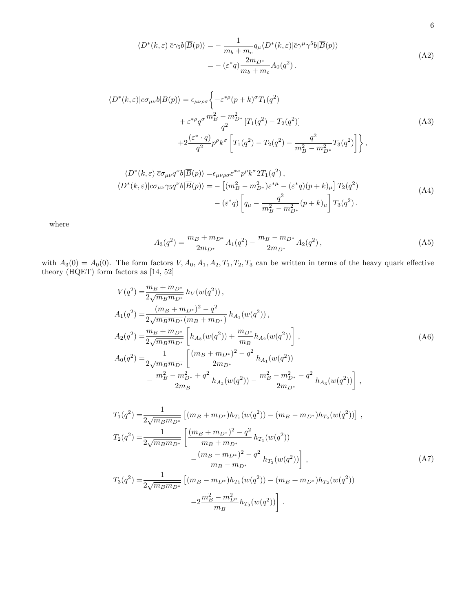$$
\langle D^*(k,\varepsilon)|\overline{c}\gamma_5 b|\overline{B}(p)\rangle = -\frac{1}{m_b + m_c} q_\mu \langle D^*(k,\varepsilon)|\overline{c}\gamma^\mu \gamma^5 b|\overline{B}(p)\rangle
$$
  
= -(\varepsilon^\* q)\frac{2m\_{D^\*}}{m\_b + m\_c} A\_0(q^2). (A2)

$$
\langle D^*(k,\varepsilon)|\overline{c}\sigma_{\mu\nu}b|\overline{B}(p)\rangle = \epsilon_{\mu\nu\rho\sigma} \left\{-\varepsilon^{*\rho}(p+k)^{\sigma}T_1(q^2) + \varepsilon^{*\rho}q^{\sigma}\frac{m_B^2 - m_D^2}{q^2} [T_1(q^2) - T_2(q^2)]\right\}
$$
\n
$$
+2\frac{(\varepsilon^* \cdot q)}{q^2}p^{\rho}k^{\sigma}\left[T_1(q^2) - T_2(q^2) - \frac{q^2}{m_B^2 - m_{D^*}^2}T_3(q^2)\right]\right\},\tag{A3}
$$

$$
\langle D^*(k,\varepsilon)|\overline{c}\sigma_{\mu\nu}q^{\nu}b|\overline{B}(p)\rangle = \epsilon_{\mu\nu\rho\sigma}\varepsilon^{*\nu}p^{\rho}k^{\sigma}2T_1(q^2),
$$
  

$$
\langle D^*(k,\varepsilon)|\overline{c}\sigma_{\mu\nu}\gamma_5q^{\nu}b|\overline{B}(p)\rangle = -[(m_B^2 - m_{D^*}^2)\varepsilon^{*\mu} - (\varepsilon^*q)(p+k)_{\mu}]T_2(q^2)
$$
  

$$
-(\varepsilon^*q)\left[q_{\mu} - \frac{q^2}{m_B^2 - m_{D^*}^2}(p+k)_{\mu}\right]T_3(q^2).
$$
 (A4)

where

$$
A_3(q^2) = \frac{m_B + m_{D^*}}{2m_{D^*}} A_1(q^2) - \frac{m_B - m_{D^*}}{2m_{D^*}} A_2(q^2),
$$
 (A5)

with  $A_3(0) = A_0(0)$ . The form factors  $V, A_0, A_1, A_2, T_1, T_2, T_3$  can be written in terms of the heavy quark effective theory (HQET) form factors as [14, 52]

$$
V(q^{2}) = \frac{m_{B} + m_{D^{*}}}{2\sqrt{m_{B}m_{D^{*}}}} h_{V}(w(q^{2})),
$$
  
\n
$$
A_{1}(q^{2}) = \frac{(m_{B} + m_{D^{*}})^{2} - q^{2}}{2\sqrt{m_{B}m_{D^{*}}}(m_{B} + m_{D^{*}})} h_{A_{1}}(w(q^{2})),
$$
  
\n
$$
A_{2}(q^{2}) = \frac{m_{B} + m_{D^{*}}}{2\sqrt{m_{B}m_{D^{*}}}} \left[ h_{A_{3}}(w(q^{2})) + \frac{m_{D^{*}}}{m_{B}} h_{A_{2}}(w(q^{2})) \right],
$$
  
\n
$$
A_{0}(q^{2}) = \frac{1}{2\sqrt{m_{B}m_{D^{*}}}} \left[ \frac{(m_{B} + m_{D^{*}})^{2} - q^{2}}{2m_{D^{*}}} h_{A_{1}}(w(q^{2})) - \frac{m_{B}^{2} - m_{D^{*}}^{2} - q^{2}}{2m_{B}} h_{A_{3}}(w(q^{2})) \right],
$$
\n(A6)

$$
T_1(q^2) = \frac{1}{2\sqrt{m_B m_{D^*}}} \left[ (m_B + m_{D^*})h_{T_1}(w(q^2)) - (m_B - m_{D^*})h_{T_2}(w(q^2)) \right],
$$
  
\n
$$
T_2(q^2) = \frac{1}{2\sqrt{m_B m_{D^*}}} \left[ \frac{(m_B + m_{D^*})^2 - q^2}{m_B + m_{D^*}} h_{T_1}(w(q^2)) - \frac{(m_B - m_{D^*})^2 - q^2}{m_B - m_{D^*}} h_{T_2}(w(q^2)) \right],
$$
  
\n
$$
T_3(q^2) = \frac{1}{2\sqrt{m_B m_{D^*}}} \left[ (m_B - m_{D^*})h_{T_1}(w(q^2)) - (m_B + m_{D^*})h_{T_2}(w(q^2)) - \frac{2m_B^2 - m_{D^*}^2}{m_B} h_{T_3}(w(q^2)) \right].
$$
  
\n(A7)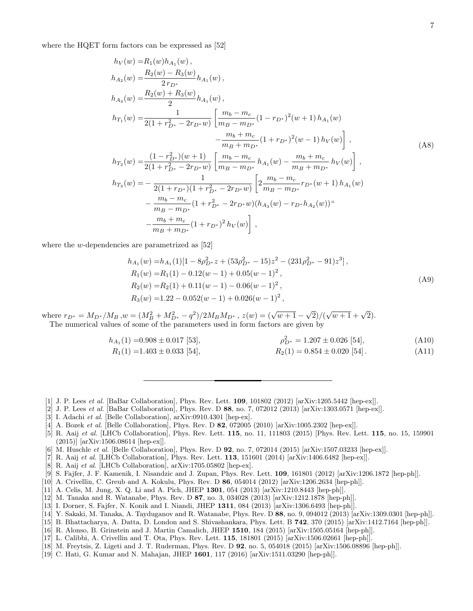where the HQET form factors can be expressed as [52]

$$
h_V(w) = R_1(w)h_{A_1}(w),
$$
  
\n
$$
h_{A_2}(w) = \frac{R_2(w) - R_3(w)}{2r_{D^*}}h_{A_1}(w),
$$
  
\n
$$
h_{A_3}(w) = \frac{R_2(w) + R_3(w)}{2}h_{A_1}(w),
$$
  
\n
$$
h_{T_1}(w) = \frac{1}{2(1 + r_{D^*}^2 - 2r_{D^*}w)} \left[ \frac{m_b - m_c}{m_B - m_{D^*}} (1 - r_{D^*})^2 (w + 1) h_{A_1}(w) - \frac{m_b + m_c}{m_B + m_{D^*}} (1 + r_{D^*})^2 (w - 1) h_V(w) \right],
$$
  
\n
$$
h_{T_2}(w) = \frac{(1 - r_{D^*}^2)(w + 1)}{2(1 + r_{D^*}^2 - 2r_{D^*}w)} \left[ \frac{m_b - m_c}{m_B - m_{D^*}} h_{A_1}(w) - \frac{m_b + m_c}{m_B + m_{D^*}} h_V(w) \right],
$$
  
\n
$$
h_{T_3}(w) = -\frac{1}{2(1 + r_{D^*})(1 + r_{D^*}^2 - 2r_{D^*}w)} \left[ 2 \frac{m_b - m_c}{m_B - m_{D^*}} r_{D^*}(w + 1) h_{A_1}(w) - \frac{m_b - m_c}{m_B - m_{D^*}} (1 + r_{D^*}^2 - 2r_{D^*}w)(h_{A_3}(w) - r_{D^*}h_{A_2}(w))^{\alpha} \right]
$$
\n(AB)

where the w-dependencies are parametrized as [52]

−

 $m_b + m_c$ 

$$
h_{A_1}(w) = h_{A_1}(1)[1 - 8\rho_{D^*}^2 z + (53\rho_{D^*}^2 - 15)z^2 - (231\rho_{D^*}^2 - 91)z^3],
$$
  
\n
$$
R_1(w) = R_1(1) - 0.12(w - 1) + 0.05(w - 1)^2,
$$
  
\n
$$
R_2(w) = R_2(1) + 0.11(w - 1) - 0.06(w - 1)^2,
$$
  
\n
$$
R_3(w) = 1.22 - 0.052(w - 1) + 0.026(w - 1)^2,
$$
\n(A9)

where  $r_{D^*} = M_{D^*}/M_B$ ,  $w = (M_B^2 + M_{D^*}^2 - q^2)/2M_BM_{D^*}$ ,  $z(w) = (\sqrt{w+1} - \sqrt{2})/(\sqrt{w+1} + \sqrt{2})$ . The numerical values of some of the parameters used in form factors are given by

 $\frac{m_b + m_c}{m_B + m_{D^*}} (1 + r_{D^*})^2 h_V(w) \right],$ 

$$
h_{A_1}(1) = 0.908 \pm 0.017 \text{ [53]}, \qquad \rho_{D^*}^2 = 1.207 \pm 0.026 \text{ [54]}, \qquad (A10)
$$
  
\n
$$
R_1(1) = 1.403 \pm 0.033 \text{ [54]}, \qquad R_2(1) = 0.854 \pm 0.020 \text{ [54]}.
$$

- [1] J. P. Lees et al. [BaBar Collaboration], Phys. Rev. Lett. 109, 101802 (2012) [arXiv:1205.5442 [hep-ex]].
- [2] J. P. Lees *et al.* [BaBar Collaboration], Phys. Rev. D  $88$ , no. 7, 072012 (2013) [arXiv:1303.0571 [hep-ex]].
- [3] I. Adachi et al. [Belle Collaboration], arXiv:0910.4301 [hep-ex].
- [4] A. Bozek *et al.* [Belle Collaboration], Phys. Rev. D **82**, 072005 (2010) [arXiv:1005.2302 [hep-ex]].
- [5] R. Aaij et al. [LHCb Collaboration], Phys. Rev. Lett. **115**, no. 11, 111803 (2015) [Phys. Rev. Lett. **115**, no. 15, 159901 (2015)] [arXiv:1506.08614 [hep-ex]].
- [6] M. Huschle et al. [Belle Collaboration], Phys. Rev. D 92, no. 7, 072014 (2015) [arXiv:1507.03233 [hep-ex]].
- [7] R. Aaij et al. [LHCb Collaboration], Phys. Rev. Lett. 113, 151601 (2014) [arXiv:1406.6482 [hep-ex]].
- [8] R. Aaij et al. [LHCb Collaboration], arXiv:1705.05802 [hep-ex].
- [9] S. Fajfer, J. F. Kamenik, I. Nisandzic and J. Zupan, Phys. Rev. Lett. 109, 161801 (2012) [arXiv:1206.1872 [hep-ph]].
- [10] A. Crivellin, C. Greub and A. Kokulu, Phys. Rev. D 86, 054014 (2012) [arXiv:1206.2634 [hep-ph]].
- [11] A. Celis, M. Jung, X. Q. Li and A. Pich, JHEP 1301, 054 (2013) [arXiv:1210.8443 [hep-ph]].
- [12] M. Tanaka and R. Watanabe, Phys. Rev. D 87, no. 3, 034028 (2013) [arXiv:1212.1878 [hep-ph]].
- [13] I. Dorner, S. Fajfer, N. Konik and I. Niandi, JHEP 1311, 084 (2013) [arXiv:1306.6493 [hep-ph]].
- [14] Y. Sakaki, M. Tanaka, A. Tayduganov and R. Watanabe, Phys. Rev. D 88, no. 9, 094012 (2013) [arXiv:1309.0301 [hep-ph]].
- [15] B. Bhattacharya, A. Datta, D. London and S. Shivashankara, Phys. Lett. B 742, 370 (2015) [arXiv:1412.7164 [hep-ph]].
- [16] R. Alonso, B. Grinstein and J. Martin Camalich, JHEP 1510, 184 (2015) [arXiv:1505.05164 [hep-ph]].
- [17] L. Calibbi, A. Crivellin and T. Ota, Phys. Rev. Lett. 115, 181801 (2015) [arXiv:1506.02661 [hep-ph]].
- [18] M. Freytsis, Z. Ligeti and J. T. Ruderman, Phys. Rev. D 92, no. 5, 054018 (2015) [arXiv:1506.08896 [hep-ph]].
- [19] C. Hati, G. Kumar and N. Mahajan, JHEP 1601, 117 (2016) [arXiv:1511.03290 [hep-ph]].